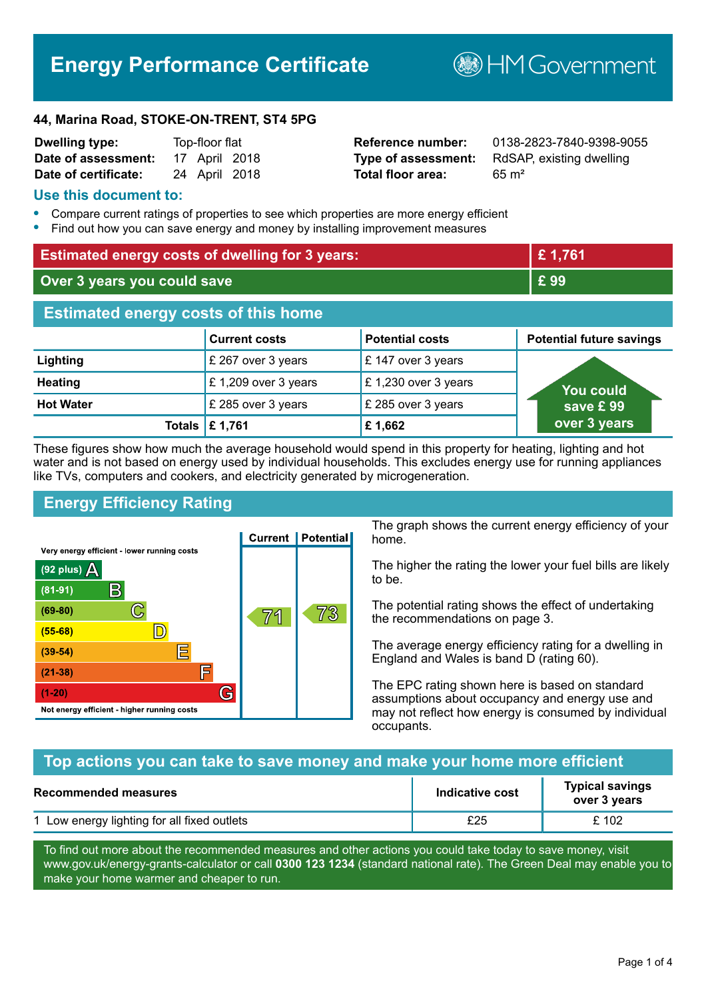# **Energy Performance Certificate**

**B**HM Government

#### **44, Marina Road, STOKE-ON-TRENT, ST4 5PG**

| <b>Dwelling type:</b> | Top-floor flat |               |  |
|-----------------------|----------------|---------------|--|
| Date of assessment:   |                | 17 April 2018 |  |
| Date of certificate:  |                | 24 April 2018 |  |

# **Total floor area:** 65 m<sup>2</sup>

**Reference number:** 0138-2823-7840-9398-9055 **Type of assessment:** RdSAP, existing dwelling

#### **Use this document to:**

- **•** Compare current ratings of properties to see which properties are more energy efficient
- **•** Find out how you can save energy and money by installing improvement measures

| <b>Estimated energy costs of dwelling for 3 years:</b> |                           | £1,761                 |                                 |
|--------------------------------------------------------|---------------------------|------------------------|---------------------------------|
| Over 3 years you could save                            |                           | £99                    |                                 |
| <b>Estimated energy costs of this home</b>             |                           |                        |                                 |
|                                                        | <b>Current costs</b>      | <b>Potential costs</b> | <b>Potential future savings</b> |
| Lighting                                               | £ 267 over 3 years        | £ 147 over 3 years     |                                 |
| <b>Heating</b>                                         | £ 1,209 over 3 years      | £ 1,230 over 3 years   | <b>You could</b>                |
| <b>Hot Water</b>                                       | £ 285 over 3 years        | £ 285 over 3 years     | save £ 99                       |
|                                                        | Totals $\mathsf{E}$ 1,761 | £1,662                 | over 3 years                    |

These figures show how much the average household would spend in this property for heating, lighting and hot water and is not based on energy used by individual households. This excludes energy use for running appliances like TVs, computers and cookers, and electricity generated by microgeneration.

# **Energy Efficiency Rating**



The graph shows the current energy efficiency of your home.

The higher the rating the lower your fuel bills are likely to be.

The potential rating shows the effect of undertaking the recommendations on page 3.

The average energy efficiency rating for a dwelling in England and Wales is band D (rating 60).

The EPC rating shown here is based on standard assumptions about occupancy and energy use and may not reflect how energy is consumed by individual occupants.

#### **Top actions you can take to save money and make your home more efficient**

| <b>Recommended measures</b>                 | Indicative cost | <b>Typical savings</b><br>over 3 years |
|---------------------------------------------|-----------------|----------------------------------------|
| 1 Low energy lighting for all fixed outlets | £25             | £ 102                                  |

To find out more about the recommended measures and other actions you could take today to save money, visit www.gov.uk/energy-grants-calculator or call **0300 123 1234** (standard national rate). The Green Deal may enable you to make your home warmer and cheaper to run.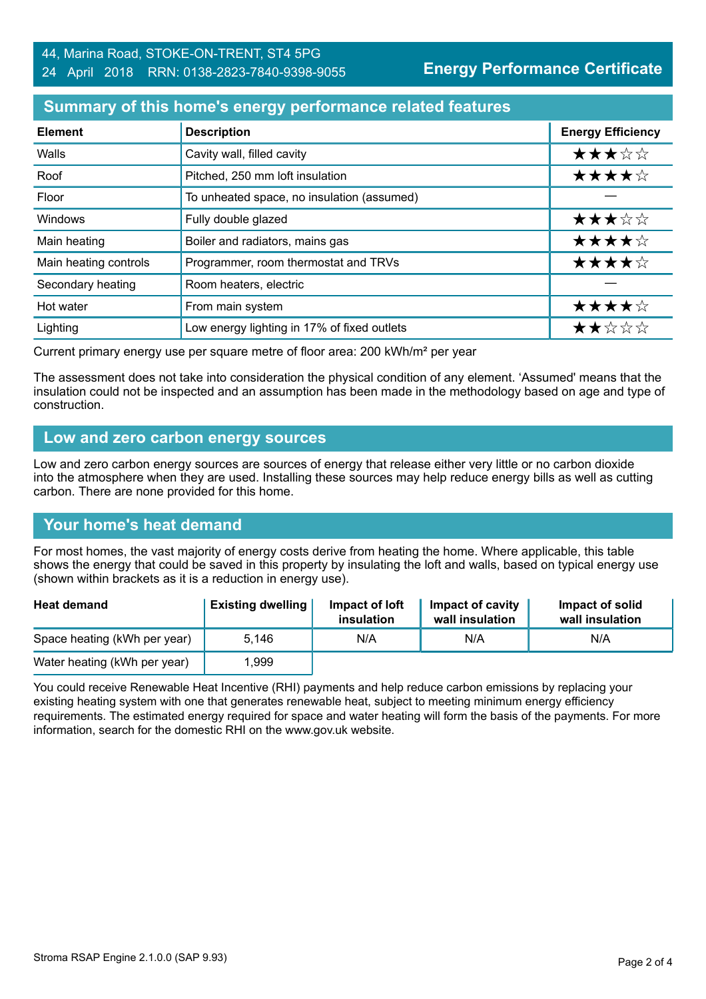### **Summary of this home's energy performance related features**

| <b>Element</b>        | <b>Description</b>                          | <b>Energy Efficiency</b> |
|-----------------------|---------------------------------------------|--------------------------|
| Walls                 | Cavity wall, filled cavity                  | ★★★☆☆                    |
| Roof                  | Pitched, 250 mm loft insulation             | ★★★★☆                    |
| Floor                 | To unheated space, no insulation (assumed)  |                          |
| Windows               | Fully double glazed                         | ★★★☆☆                    |
| Main heating          | Boiler and radiators, mains gas             | ★★★★☆                    |
| Main heating controls | Programmer, room thermostat and TRVs        | ★★★★☆                    |
| Secondary heating     | Room heaters, electric                      |                          |
| Hot water             | From main system                            | ★★★★☆                    |
| Lighting              | Low energy lighting in 17% of fixed outlets | ★★☆☆☆                    |

Current primary energy use per square metre of floor area: 200 kWh/m² per year

The assessment does not take into consideration the physical condition of any element. 'Assumed' means that the insulation could not be inspected and an assumption has been made in the methodology based on age and type of construction.

#### **Low and zero carbon energy sources**

Low and zero carbon energy sources are sources of energy that release either very little or no carbon dioxide into the atmosphere when they are used. Installing these sources may help reduce energy bills as well as cutting carbon. There are none provided for this home.

#### **Your home's heat demand**

For most homes, the vast majority of energy costs derive from heating the home. Where applicable, this table shows the energy that could be saved in this property by insulating the loft and walls, based on typical energy use (shown within brackets as it is a reduction in energy use).

| <b>Heat demand</b>           | <b>Existing dwelling</b> | Impact of loft<br>insulation | Impact of cavity<br>wall insulation | Impact of solid<br>wall insulation |
|------------------------------|--------------------------|------------------------------|-------------------------------------|------------------------------------|
| Space heating (kWh per year) | 5.146                    | N/A                          | N/A                                 | N/A                                |
| Water heating (kWh per year) | .999                     |                              |                                     |                                    |

You could receive Renewable Heat Incentive (RHI) payments and help reduce carbon emissions by replacing your existing heating system with one that generates renewable heat, subject to meeting minimum energy efficiency requirements. The estimated energy required for space and water heating will form the basis of the payments. For more information, search for the domestic RHI on the www.gov.uk website.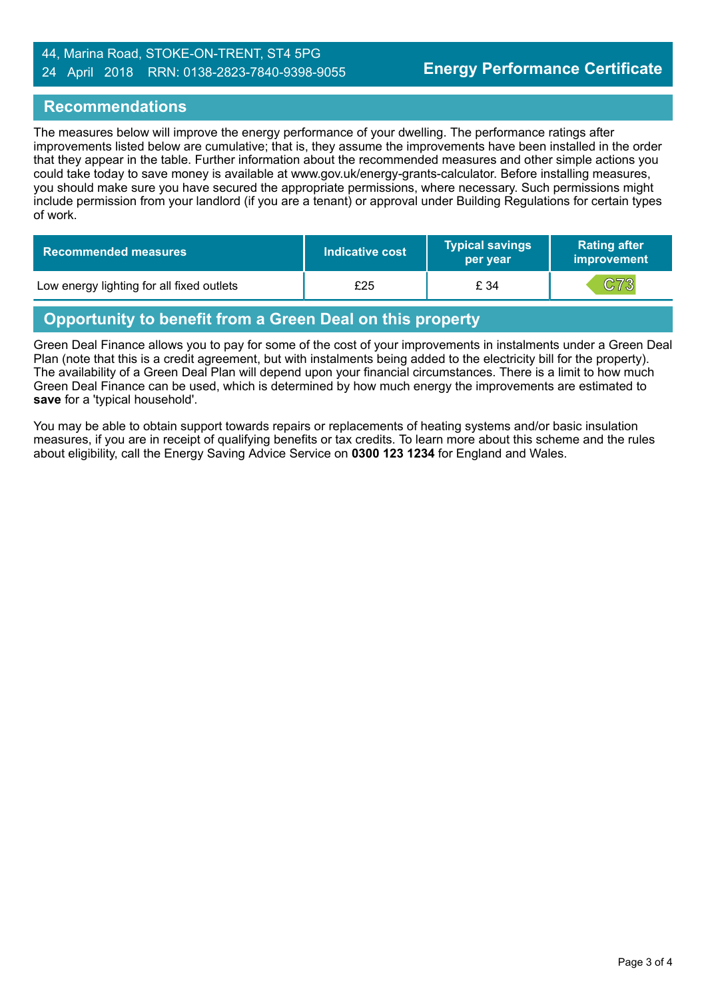#### 44, Marina Road, STOKE-ON-TRENT, ST4 5PG 24 April 2018 RRN: 0138-2823-7840-9398-9055

#### **Recommendations**

The measures below will improve the energy performance of your dwelling. The performance ratings after improvements listed below are cumulative; that is, they assume the improvements have been installed in the order that they appear in the table. Further information about the recommended measures and other simple actions you could take today to save money is available at www.gov.uk/energy-grants-calculator. Before installing measures, you should make sure you have secured the appropriate permissions, where necessary. Such permissions might include permission from your landlord (if you are a tenant) or approval under Building Regulations for certain types of work.

| <b>Recommended measures</b>               | Indicative cost | <b>Typical savings</b><br>per year | <b>Rating after</b><br>improvement |
|-------------------------------------------|-----------------|------------------------------------|------------------------------------|
| Low energy lighting for all fixed outlets | £25             | £ 34                               | C73                                |

# **Opportunity to benefit from a Green Deal on this property**

Green Deal Finance allows you to pay for some of the cost of your improvements in instalments under a Green Deal Plan (note that this is a credit agreement, but with instalments being added to the electricity bill for the property). The availability of a Green Deal Plan will depend upon your financial circumstances. There is a limit to how much Green Deal Finance can be used, which is determined by how much energy the improvements are estimated to **save** for a 'typical household'.

You may be able to obtain support towards repairs or replacements of heating systems and/or basic insulation measures, if you are in receipt of qualifying benefits or tax credits. To learn more about this scheme and the rules about eligibility, call the Energy Saving Advice Service on **0300 123 1234** for England and Wales.